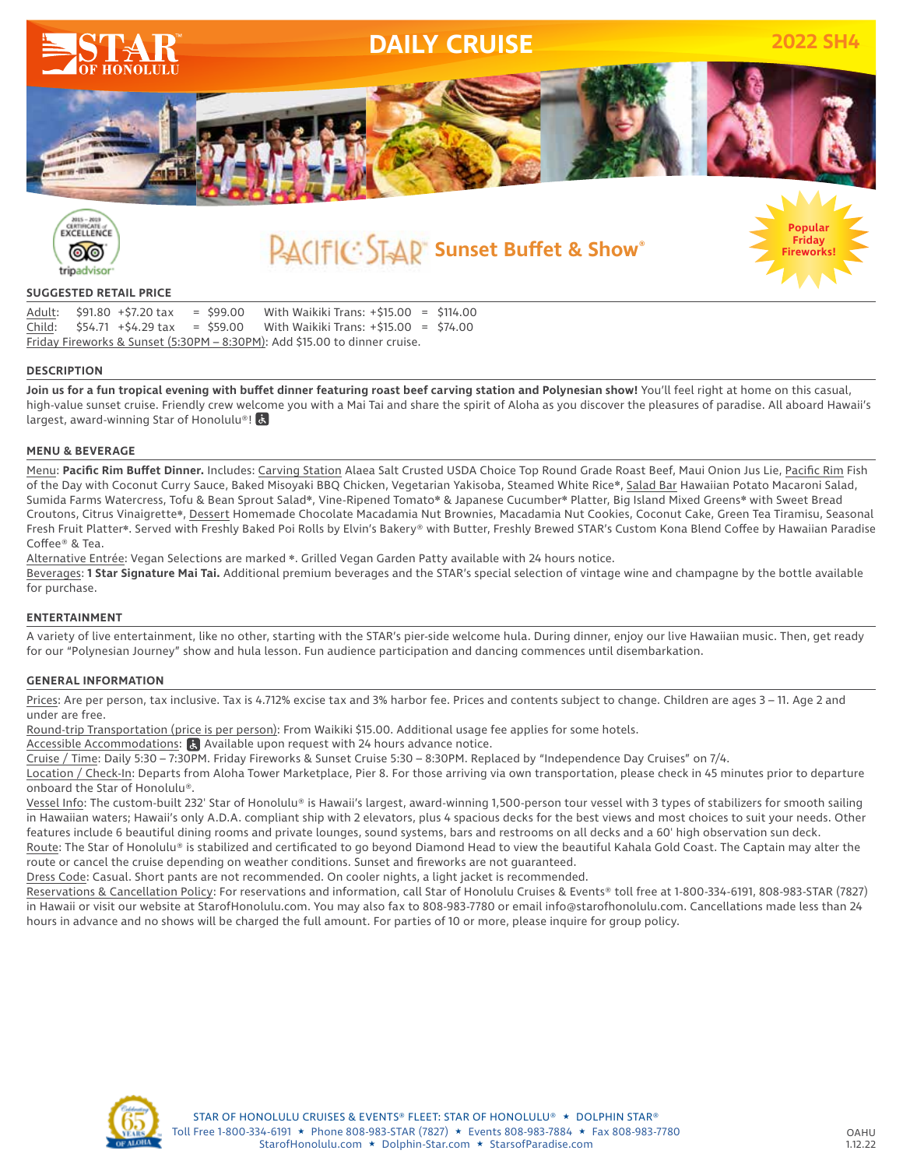



**Sunset Buffet & Show®**

## **SUGGESTED RETAIL PRICE**

|                                                                            |  | Adult: \$91.80 +\$7.20 tax |  | $=$ \$99.00 | With Waikiki Trans: $+515.00 = 5114.00$                                       |  |  |
|----------------------------------------------------------------------------|--|----------------------------|--|-------------|-------------------------------------------------------------------------------|--|--|
|                                                                            |  |                            |  |             | Child: $$54.71 + $4.29$ tax = \$59.00 With Waikiki Trans: $+ $15.00 = $74.00$ |  |  |
| Friday Fireworks & Sunset (5:30PM - 8:30PM): Add \$15.00 to dinner cruise. |  |                            |  |             |                                                                               |  |  |

## **DESCRIPTION**

**Join us for a fun tropical evening with buffet dinner featuring roast beef carving station and Polynesian show!** You'll feel right at home on this casual, high-value sunset cruise. Friendly crew welcome you with a Mai Tai and share the spirit of Aloha as you discover the pleasures of paradise. All aboard Hawaii's largest, award-winning Star of Honolulu®! &

## **MENU & BEVERAGE**

Menu: **Pacific Rim Buffet Dinner.** Includes: Carving Station Alaea Salt Crusted USDA Choice Top Round Grade Roast Beef, Maui Onion Jus Lie, Pacific Rim Fish of the Day with Coconut Curry Sauce, Baked Misoyaki BBQ Chicken, Vegetarian Yakisoba, Steamed White Rice❋, Salad Bar Hawaiian Potato Macaroni Salad, Sumida Farms Watercress, Tofu & Bean Sprout Salad❋, Vine-Ripened Tomato❋ & Japanese Cucumber❋ Platter, Big Island Mixed Greens❋ with Sweet Bread Croutons, Citrus Vinaigrette❋, Dessert Homemade Chocolate Macadamia Nut Brownies, Macadamia Nut Cookies, Coconut Cake, Green Tea Tiramisu, Seasonal Fresh Fruit Platter\*. Served with Freshly Baked Poi Rolls by Elvin's Bakery® with Butter, Freshly Brewed STAR's Custom Kona Blend Coffee by Hawaiian Paradise Coffee® & Tea.

Alternative Entrée: Vegan Selections are marked ❋. Grilled Vegan Garden Patty available with 24 hours notice. Beverages: **1 Star Signature Mai Tai.** Additional premium beverages and the STAR's special selection of vintage wine and champagne by the bottle available for purchase.

### **ENTERTAINMENT**

A variety of live entertainment, like no other, starting with the STAR's pier-side welcome hula. During dinner, enjoy our live Hawaiian music. Then, get ready for our "Polynesian Journey" show and hula lesson. Fun audience participation and dancing commences until disembarkation.

#### **GENERAL INFORMATION**

Prices: Are per person, tax inclusive. Tax is 4.712% excise tax and 3% harbor fee. Prices and contents subject to change. Children are ages 3 – 11. Age 2 and under are free.

Round-trip Transportation (price is per person): From Waikiki \$15.00. Additional usage fee applies for some hotels.

Accessible Accommodations:  $\epsilon$  Available upon request with 24 hours advance notice.

Cruise / Time: Daily 5:30 – 7:30PM. Friday Fireworks & Sunset Cruise 5:30 – 8:30PM. Replaced by "Independence Day Cruises" on 7/4.

Location / Check-In: Departs from Aloha Tower Marketplace, Pier 8. For those arriving via own transportation, please check in 45 minutes prior to departure onboard the Star of Honolulu®.

Vessel Info: The custom-built 232' Star of Honolulu® is Hawaii's largest, award-winning 1,500-person tour vessel with 3 types of stabilizers for smooth sailing in Hawaiian waters; Hawaii's only A.D.A. compliant ship with 2 elevators, plus 4 spacious decks for the best views and most choices to suit your needs. Other features include 6 beautiful dining rooms and private lounges, sound systems, bars and restrooms on all decks and a 60' high observation sun deck.

Route: The Star of Honolulu® is stabilized and certificated to go beyond Diamond Head to view the beautiful Kahala Gold Coast. The Captain may alter the route or cancel the cruise depending on weather conditions. Sunset and fireworks are not guaranteed.

Dress Code: Casual. Short pants are not recommended. On cooler nights, a light jacket is recommended.

Reservations & Cancellation Policy: For reservations and information, call Star of Honolulu Cruises & Events® toll free at 1-800-334-6191, 808-983-STAR (7827) in Hawaii or visit our website at StarofHonolulu.com. You may also fax to 808-983-7780 or email info@starofhonolulu.com. Cancellations made less than 24 hours in advance and no shows will be charged the full amount. For parties of 10 or more, please inquire for group policy.



**Fireworks!**